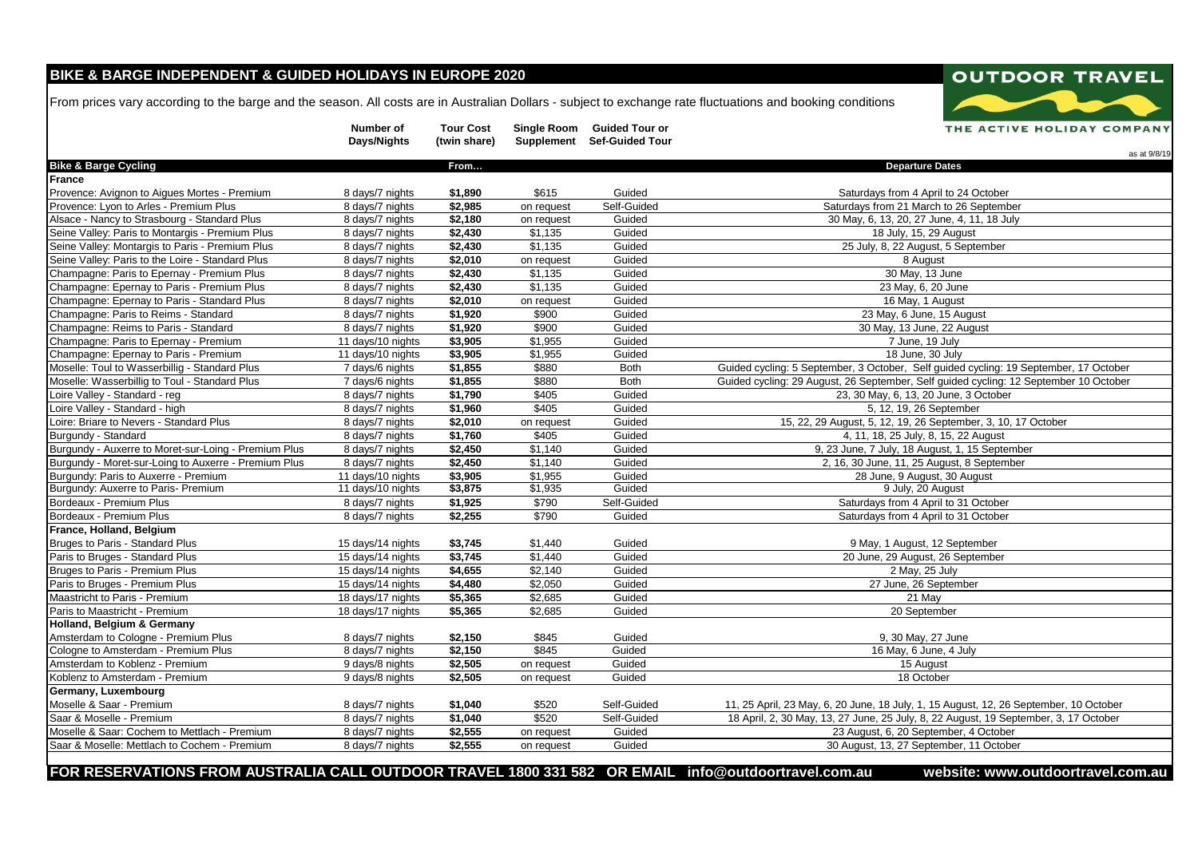## **BIKE & BARGE INDEPENDENT & GUIDED HOLIDAYS IN EUROPE 2020**

From prices vary according to the barge and the season. All costs are in Australian Dollars - subject to exchange rate fluctuations and booking conditions

|                                                      | Number of<br>Days/Nights | <b>Tour Cost</b><br>(twin share) |                     | Single Room Guided Tour or<br>Supplement Sef-Guided Tour | THE ACTIVE HOLIDAY COMPANY<br>as at 9/8/19                                            |
|------------------------------------------------------|--------------------------|----------------------------------|---------------------|----------------------------------------------------------|---------------------------------------------------------------------------------------|
| <b>Bike &amp; Barge Cycling</b>                      |                          | From                             |                     |                                                          | <b>Departure Dates</b>                                                                |
| France                                               |                          |                                  |                     |                                                          |                                                                                       |
| Provence: Avignon to Aigues Mortes - Premium         | 8 days/7 nights          | \$1,890                          | \$615               | Guided                                                   | Saturdays from 4 April to 24 October                                                  |
| Provence: Lyon to Arles - Premium Plus               | 8 days/7 nights          | \$2,985                          | on request          | Self-Guided                                              | Saturdays from 21 March to 26 September                                               |
| Alsace - Nancy to Strasbourg - Standard Plus         | 8 days/7 nights          | \$2,180                          | on request          | Guided                                                   | 30 May, 6, 13, 20, 27 June, 4, 11, 18 July                                            |
| Seine Valley: Paris to Montargis - Premium Plus      | 8 days/7 nights          | \$2,430                          | \$1,135             | Guided                                                   | 18 July, 15, 29 August                                                                |
| Seine Valley: Montargis to Paris - Premium Plus      | 8 days/7 nights          | \$2,430                          | \$1,135             | Guided                                                   | 25 July, 8, 22 August, 5 September                                                    |
| Seine Valley: Paris to the Loire - Standard Plus     | 8 days/7 nights          | $\sqrt{$2,010}$                  | on request          | Guided                                                   | 8 August                                                                              |
| Champagne: Paris to Epernay - Premium Plus           | 8 days/7 nights          | \$2,430                          | \$1,135             | Guided                                                   | 30 May, 13 June                                                                       |
| Champagne: Epernay to Paris - Premium Plus           | 8 days/7 nights          | \$2,430                          | $\overline{$1,135}$ | Guided                                                   | 23 May, 6, 20 June                                                                    |
| Champagne: Epernay to Paris - Standard Plus          | 8 days/7 nights          | \$2,010                          | on request          | Guided                                                   | 16 May, 1 August                                                                      |
| Champagne: Paris to Reims - Standard                 | 8 days/7 nights          | \$1,920                          | \$900               | Guided                                                   | 23 May, 6 June, 15 August                                                             |
| Champagne: Reims to Paris - Standard                 | 8 days/7 nights          | \$1,920                          | \$900               | Guided                                                   | 30 May, 13 June, 22 August                                                            |
| Champagne: Paris to Epernay - Premium                | 11 days/10 nights        | \$3,905                          | \$1,955             | Guided                                                   | 7 June, 19 July                                                                       |
| Champagne: Epernay to Paris - Premium                | 11 days/10 nights        | \$3,905                          | \$1,955             | Guided                                                   | 18 June, 30 July                                                                      |
| Moselle: Toul to Wasserbillig - Standard Plus        | 7 days/6 nights          | \$1,855                          | \$880               | <b>Both</b>                                              | Guided cycling: 5 September, 3 October, Self guided cycling: 19 September, 17 October |
| Moselle: Wasserbillig to Toul - Standard Plus        | 7 days/6 nights          | \$1,855                          | \$880               | <b>Both</b>                                              | Guided cycling: 29 August, 26 September, Self guided cycling: 12 September 10 October |
| Loire Valley - Standard - reg                        | 8 days/7 nights          | \$1,790                          | \$405               | Guided                                                   | 23, 30 May, 6, 13, 20 June, 3 October                                                 |
| Loire Valley - Standard - high                       | 8 days/7 nights          | \$1,960                          | \$405               | Guided                                                   | 5, 12, 19, 26 September                                                               |
| Loire: Briare to Nevers - Standard Plus              | 8 days/7 nights          | \$2,010                          | on request          | Guided                                                   | 15, 22, 29 August, 5, 12, 19, 26 September, 3, 10, 17 October                         |
| Burgundy - Standard                                  | 8 days/7 nights          | \$1,760                          | \$405               | Guided                                                   | 4, 11, 18, 25 July, 8, 15, 22 August                                                  |
| Burgundy - Auxerre to Moret-sur-Loing - Premium Plus | 8 days/7 nights          | \$2,450                          | \$1,140             | Guided                                                   | 9, 23 June, 7 July, 18 August, 1, 15 September                                        |
| Burgundy - Moret-sur-Loing to Auxerre - Premium Plus | 8 days/7 nights          | \$2,450                          | \$1,140             | Guided                                                   | 2, 16, 30 June, 11, 25 August, 8 September                                            |
| Burgundy: Paris to Auxerre - Premium                 | 11 days/10 nights        | \$3,905                          | \$1,955             | Guided                                                   | 28 June, 9 August, 30 August                                                          |
| Burgundy: Auxerre to Paris- Premium                  | 11 days/10 nights        | \$3,875                          | \$1,935             | Guided                                                   | 9 July, 20 August                                                                     |
| Bordeaux - Premium Plus                              | 8 days/7 nights          | \$1,925                          | \$790               | Self-Guided                                              | Saturdays from 4 April to 31 October                                                  |
| Bordeaux - Premium Plus                              | 8 days/7 nights          | \$2,255                          | \$790               | Guided                                                   | Saturdays from 4 April to 31 October                                                  |
| France, Holland, Belgium                             |                          |                                  |                     |                                                          |                                                                                       |
| Bruges to Paris - Standard Plus                      | 15 days/14 nights        | \$3,745                          | \$1,440             | Guided                                                   | 9 May, 1 August, 12 September                                                         |
| Paris to Bruges - Standard Plus                      | 15 days/14 nights        | \$3,745                          | \$1,440             | Guided                                                   | 20 June, 29 August, 26 September                                                      |
| Bruges to Paris - Premium Plus                       | 15 days/14 nights        | \$4,655                          | \$2,140             | Guided                                                   | 2 May, 25 July                                                                        |
| Paris to Bruges - Premium Plus                       | 15 days/14 nights        | \$4,480                          | \$2,050             | Guided                                                   | 27 June, 26 September                                                                 |
| Maastricht to Paris - Premium                        | 18 days/17 nights        | \$5,365                          | \$2,685             | Guided                                                   | 21 May                                                                                |
| Paris to Maastricht - Premium                        | 18 days/17 nights        | \$5,365                          | \$2,685             | Guided                                                   | 20 September                                                                          |
| Holland, Belgium & Germany                           |                          |                                  |                     |                                                          |                                                                                       |
| Amsterdam to Cologne - Premium Plus                  | 8 days/7 nights          | \$2,150                          | \$845               | Guided                                                   | 9, 30 May, 27 June                                                                    |
| Cologne to Amsterdam - Premium Plus                  | 8 days/7 nights          | \$2,150                          | \$845               | Guided                                                   | 16 May, 6 June, 4 July                                                                |
| Amsterdam to Koblenz - Premium                       | 9 days/8 nights          | \$2,505                          | on request          | Guided                                                   | 15 August                                                                             |
| Koblenz to Amsterdam - Premium                       | 9 days/8 nights          | \$2,505                          | on request          | Guided                                                   | 18 October                                                                            |
| Germany, Luxembourg                                  |                          |                                  |                     |                                                          |                                                                                       |
| Moselle & Saar - Premium                             | 8 days/7 nights          | \$1,040                          | \$520               | Self-Guided                                              | 11, 25 April, 23 May, 6, 20 June, 18 July, 1, 15 August, 12, 26 September, 10 October |
| Saar & Moselle - Premium                             | 8 days/7 nights          | \$1,040                          | \$520               | Self-Guided                                              | 18 April, 2, 30 May, 13, 27 June, 25 July, 8, 22 August, 19 September, 3, 17 October  |
| Moselle & Saar: Cochem to Mettlach - Premium         | 8 days/7 nights          | \$2,555                          | on request          | Guided                                                   | 23 August, 6, 20 September, 4 October                                                 |
| Saar & Moselle: Mettlach to Cochem - Premium         | 8 days/7 nights          | \$2,555                          | on request          | Guided                                                   | 30 August, 13, 27 September, 11 October                                               |
|                                                      |                          |                                  |                     |                                                          |                                                                                       |

**FOR RESERVATIONS FROM AUSTRALIA CALL OUTDOOR TRAVEL 1800 331 582 OR EMAIL info@outdoortravel.com.au website: <www.outdoortravel.com.au>**

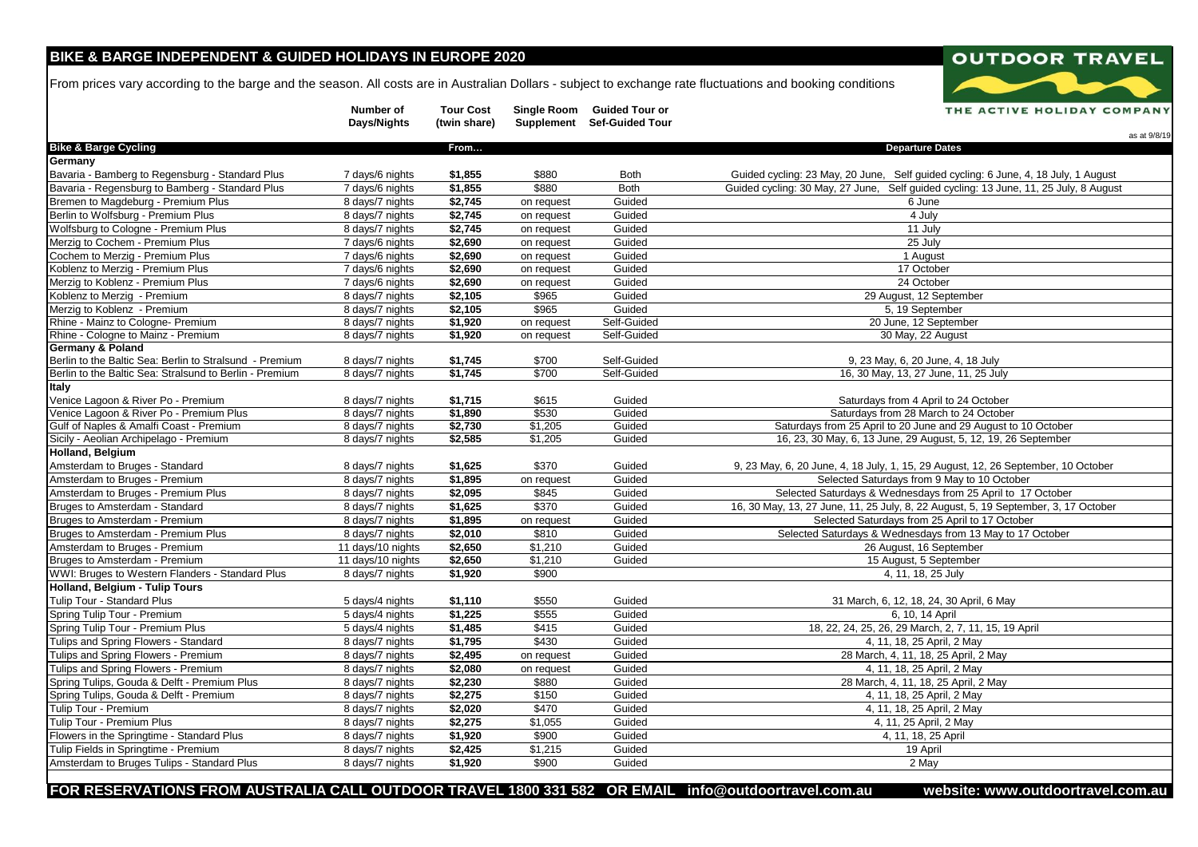### **BIKE & BARGE INDEPENDENT & GUIDED HOLIDAYS IN EUROPE 2020**

From prices vary according to the barge and the season. All costs are in Australian Dollars - subject to exchange rate fluctuations and booking conditions



**FOR RESERVATIONS FROM AUSTRALIA CALL OUTDOOR TRAVEL 1800 331 582 OR EMAIL info@outdoortravel.com.au website: <www.outdoortravel.com.au>**

## **OUTDOOR TRAVEL** THE ACTIVE HOLIDAY COMPANY